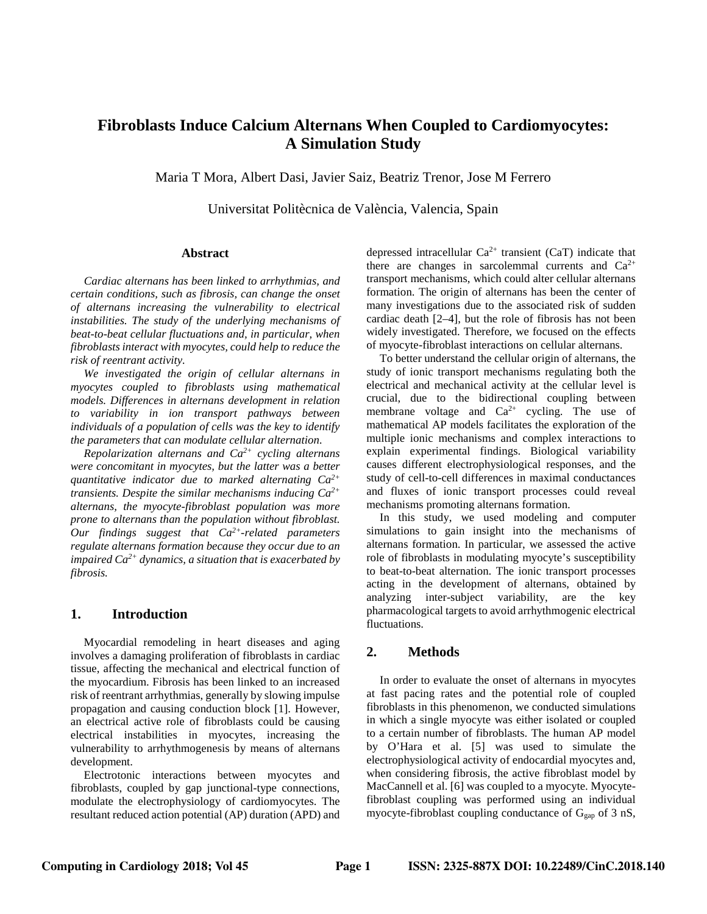# **Fibroblasts Induce Calcium Alternans When Coupled to Cardiomyocytes: A Simulation Study**

Maria T Mora, Albert Dasi, Javier Saiz, Beatriz Trenor, Jose M Ferrero

Universitat Politècnica de València, Valencia, Spain

### **Abstract**

*Cardiac alternans has been linked to arrhythmias, and certain conditions, such as fibrosis, can change the onset of alternans increasing the vulnerability to electrical instabilities. The study of the underlying mechanisms of beat-to-beat cellular fluctuations and, in particular, when fibroblasts interact with myocytes, could help to reduce the risk of reentrant activity.*

*We investigated the origin of cellular alternans in myocytes coupled to fibroblasts using mathematical models. Differences in alternans development in relation to variability in ion transport pathways between individuals of a population of cells was the key to identify the parameters that can modulate cellular alternation.*

*Repolarization alternans and Ca2+ cycling alternans were concomitant in myocytes, but the latter was a better quantitative indicator due to marked alternating Ca2+ transients. Despite the similar mechanisms inducing Ca2+ alternans, the myocyte-fibroblast population was more prone to alternans than the population without fibroblast. Our findings suggest that Ca2+-related parameters regulate alternans formation because they occur due to an impaired Ca2+ dynamics, a situation that is exacerbated by fibrosis.*

# **1. Introduction**

Myocardial remodeling in heart diseases and aging involves a damaging proliferation of fibroblasts in cardiac tissue, affecting the mechanical and electrical function of the myocardium. Fibrosis has been linked to an increased risk of reentrant arrhythmias, generally by slowing impulse propagation and causing conduction block [1]. However, an electrical active role of fibroblasts could be causing electrical instabilities in myocytes, increasing the vulnerability to arrhythmogenesis by means of alternans development.

Electrotonic interactions between myocytes and fibroblasts, coupled by gap junctional-type connections, modulate the electrophysiology of cardiomyocytes. The resultant reduced action potential (AP) duration (APD) and depressed intracellular  $Ca^{2+}$  transient (CaT) indicate that there are changes in sarcolemmal currents and  $Ca^{2+}$ transport mechanisms, which could alter cellular alternans formation. The origin of alternans has been the center of many investigations due to the associated risk of sudden cardiac death [2–4], but the role of fibrosis has not been widely investigated. Therefore, we focused on the effects of myocyte-fibroblast interactions on cellular alternans.

To better understand the cellular origin of alternans, the study of ionic transport mechanisms regulating both the electrical and mechanical activity at the cellular level is crucial, due to the bidirectional coupling between membrane voltage and  $Ca^{2+}$  cycling. The use of mathematical AP models facilitates the exploration of the multiple ionic mechanisms and complex interactions to explain experimental findings. Biological variability causes different electrophysiological responses, and the study of cell-to-cell differences in maximal conductances and fluxes of ionic transport processes could reveal mechanisms promoting alternans formation.

In this study, we used modeling and computer simulations to gain insight into the mechanisms of alternans formation. In particular, we assessed the active role of fibroblasts in modulating myocyte's susceptibility to beat-to-beat alternation. The ionic transport processes acting in the development of alternans, obtained by analyzing inter-subject variability, are the key pharmacological targets to avoid arrhythmogenic electrical fluctuations.

# **2. Methods**

In order to evaluate the onset of alternans in myocytes at fast pacing rates and the potential role of coupled fibroblasts in this phenomenon, we conducted simulations in which a single myocyte was either isolated or coupled to a certain number of fibroblasts. The human AP model by O'Hara et al. [5] was used to simulate the electrophysiological activity of endocardial myocytes and, when considering fibrosis, the active fibroblast model by MacCannell et al. [6] was coupled to a myocyte. Myocytefibroblast coupling was performed using an individual myocyte-fibroblast coupling conductance of  $G<sub>gap</sub>$  of 3 nS,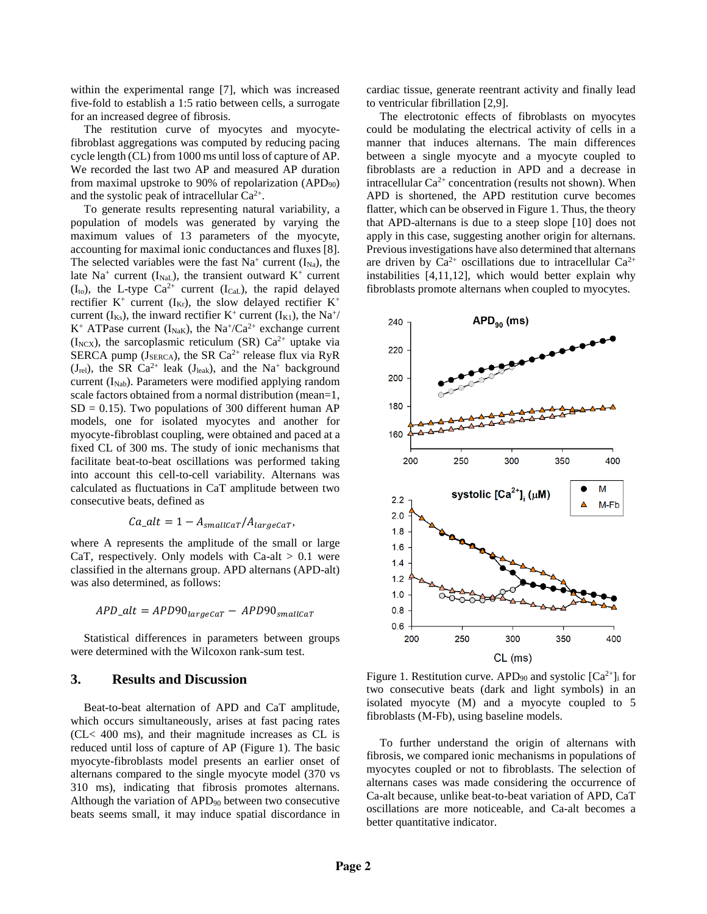within the experimental range [7], which was increased five-fold to establish a 1:5 ratio between cells, a surrogate for an increased degree of fibrosis.

The restitution curve of myocytes and myocytefibroblast aggregations was computed by reducing pacing cycle length (CL) from 1000 ms until loss of capture of AP. We recorded the last two AP and measured AP duration from maximal upstroke to 90% of repolarization  $(APD_{90})$ and the systolic peak of intracellular  $Ca^{2+}$ .

To generate results representing natural variability, a population of models was generated by varying the maximum values of 13 parameters of the myocyte, accounting for maximal ionic conductances and fluxes [8]. The selected variables were the fast  $Na<sup>+</sup>$  current  $(I<sub>Na</sub>)$ , the late Na<sup>+</sup> current (I<sub>NaL</sub>), the transient outward K<sup>+</sup> current  $(I<sub>to</sub>)$ , the L-type Ca<sup>2+</sup> current  $(I<sub>CaL</sub>)$ , the rapid delayed rectifier  $K^+$  current (I<sub>Kr</sub>), the slow delayed rectifier  $K^+$ current ( $I_{Ks}$ ), the inward rectifier K<sup>+</sup> current ( $I_{K1}$ ), the Na<sup>+</sup>/ K<sup>+</sup> ATPase current ( $I_{\text{NaK}}$ ), the Na<sup>+</sup>/Ca<sup>2+</sup> exchange current ( $I_{NCX}$ ), the sarcoplasmic reticulum (SR) Ca<sup>2+</sup> uptake via SERCA pump ( $J_{SERC}$ ), the SR Ca<sup>2+</sup> release flux via RyR  $(J_{rel})$ , the SR Ca<sup>2+</sup> leak  $(J_{leak})$ , and the Na<sup>+</sup> background current  $(I_{Nab})$ . Parameters were modified applying random scale factors obtained from a normal distribution (mean=1,  $SD = 0.15$ . Two populations of 300 different human AP models, one for isolated myocytes and another for myocyte-fibroblast coupling, were obtained and paced at a fixed CL of 300 ms. The study of ionic mechanisms that facilitate beat-to-beat oscillations was performed taking into account this cell-to-cell variability. Alternans was calculated as fluctuations in CaT amplitude between two consecutive beats, defined as

$$
Ca\_alt = 1 - A_{smallcar}/A_{largeCar},
$$

where A represents the amplitude of the small or large CaT, respectively. Only models with Ca-alt  $> 0.1$  were classified in the alternans group. APD alternans (APD-alt) was also determined, as follows:

$$
APD\_alt = APD90_{largecar} - APD90_{smallcar}
$$

Statistical differences in parameters between groups were determined with the Wilcoxon rank-sum test.

# **3. Results and Discussion**

Beat-to-beat alternation of APD and CaT amplitude, which occurs simultaneously, arises at fast pacing rates (CL< 400 ms), and their magnitude increases as CL is reduced until loss of capture of AP (Figure 1). The basic myocyte-fibroblasts model presents an earlier onset of alternans compared to the single myocyte model (370 vs 310 ms), indicating that fibrosis promotes alternans. Although the variation of  $APD_{90}$  between two consecutive beats seems small, it may induce spatial discordance in

cardiac tissue, generate reentrant activity and finally lead to ventricular fibrillation [2,9].

The electrotonic effects of fibroblasts on myocytes could be modulating the electrical activity of cells in a manner that induces alternans. The main differences between a single myocyte and a myocyte coupled to fibroblasts are a reduction in APD and a decrease in intracellular  $Ca^{2+}$  concentration (results not shown). When APD is shortened, the APD restitution curve becomes flatter, which can be observed in Figure 1. Thus, the theory that APD-alternans is due to a steep slope [10] does not apply in this case, suggesting another origin for alternans. Previous investigations have also determined that alternans are driven by  $Ca^{2+}$  oscillations due to intracellular  $Ca^{2+}$ instabilities [4,11,12], which would better explain why fibroblasts promote alternans when coupled to myocytes.



Figure 1. Restitution curve. APD<sub>90</sub> and systolic  $[Ca^{2+}]$ <sub>i</sub> for two consecutive beats (dark and light symbols) in an isolated myocyte (M) and a myocyte coupled to 5 fibroblasts (M-Fb), using baseline models.

To further understand the origin of alternans with fibrosis, we compared ionic mechanisms in populations of myocytes coupled or not to fibroblasts. The selection of alternans cases was made considering the occurrence of Ca-alt because, unlike beat-to-beat variation of APD, CaT oscillations are more noticeable, and Ca-alt becomes a better quantitative indicator.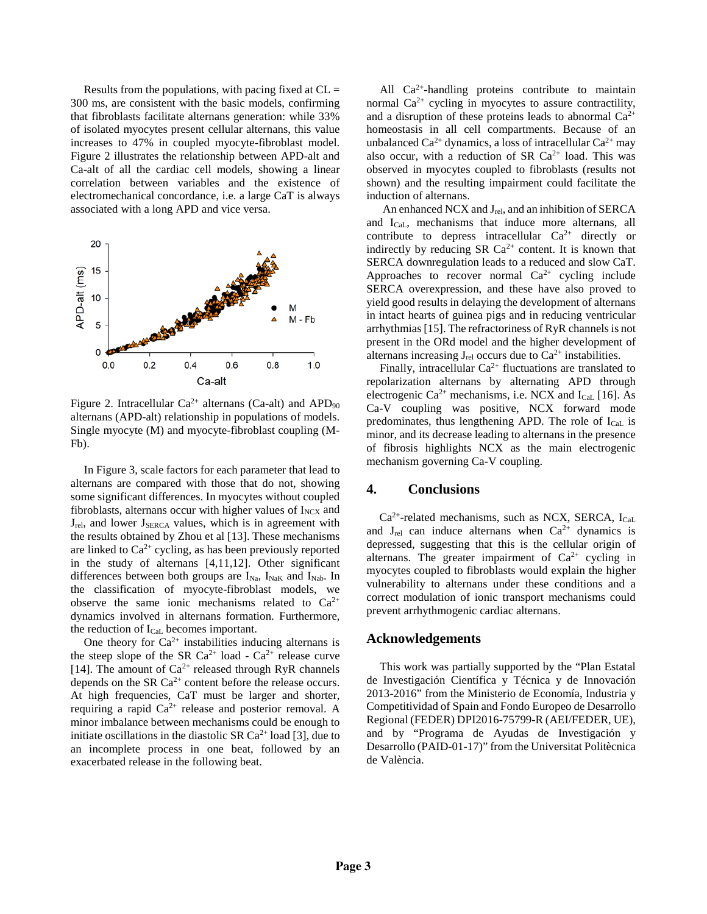Results from the populations, with pacing fixed at  $CL =$ 300 ms, are consistent with the basic models, confirming that fibroblasts facilitate alternans generation: while 33% of isolated myocytes present cellular alternans, this value increases to 47% in coupled myocyte-fibroblast model. Figure 2 illustrates the relationship between APD-alt and Ca-alt of all the cardiac cell models, showing a linear correlation between variables and the existence of electromechanical concordance, i.e. a large CaT is always associated with a long APD and vice versa.



Figure 2. Intracellular  $Ca^{2+}$  alternans (Ca-alt) and APD<sub>90</sub> alternans (APD-alt) relationship in populations of models. Single myocyte (M) and myocyte-fibroblast coupling (M-Fb).

In Figure 3, scale factors for each parameter that lead to alternans are compared with those that do not, showing some significant differences. In myocytes without coupled fibroblasts, alternans occur with higher values of  $I_{NCX}$  and  $J_{rel}$ , and lower  $J_{SERC}$  values, which is in agreement with the results obtained by Zhou et al [13]. These mechanisms are linked to  $Ca^{2+}$  cycling, as has been previously reported in the study of alternans [4,11,12]. Other significant differences between both groups are  $I_{Na}$ ,  $I_{NaK}$  and  $I_{Nab}$ . In the classification of myocyte-fibroblast models, we observe the same ionic mechanisms related to  $Ca^{2+}$ dynamics involved in alternans formation. Furthermore, the reduction of ICaL becomes important.

One theory for  $Ca^{2+}$  instabilities inducing alternans is the steep slope of the SR Ca<sup>2+</sup> load - Ca<sup>2+</sup> release curve [14]. The amount of  $Ca^{2+}$  released through RyR channels depends on the SR  $Ca^{2+}$  content before the release occurs. At high frequencies, CaT must be larger and shorter, requiring a rapid  $Ca^{2+}$  release and posterior removal. A minor imbalance between mechanisms could be enough to initiate oscillations in the diastolic SR  $Ca^{2+}$  load [3], due to an incomplete process in one beat, followed by an exacerbated release in the following beat.

All  $Ca^{2+}$ -handling proteins contribute to maintain normal  $Ca^{2+}$  cycling in myocytes to assure contractility, and a disruption of these proteins leads to abnormal  $Ca^{2+}$ homeostasis in all cell compartments. Because of an unbalanced Ca<sup>2+</sup> dynamics, a loss of intracellular Ca<sup>2+</sup> may also occur, with a reduction of SR  $Ca^{2+}$  load. This was observed in myocytes coupled to fibroblasts (results not shown) and the resulting impairment could facilitate the induction of alternans.

An enhanced NCX and J<sub>rel</sub>, and an inhibition of SERCA and ICaL, mechanisms that induce more alternans, all contribute to depress intracellular  $Ca^{2+}$  directly or indirectly by reducing SR  $Ca^{2+}$  content. It is known that SERCA downregulation leads to a reduced and slow CaT. Approaches to recover normal  $Ca^{2+}$  cycling include SERCA overexpression, and these have also proved to yield good results in delaying the development of alternans in intact hearts of guinea pigs and in reducing ventricular arrhythmias [15]. The refractoriness of RyR channels is not present in the ORd model and the higher development of alternans increasing  $J_{rel}$  occurs due to  $Ca^{2+}$  instabilities.

Finally, intracellular  $Ca^{2+}$  fluctuations are translated to repolarization alternans by alternating APD through electrogenic  $Ca^{2+}$  mechanisms, i.e. NCX and  $I_{Cal}$  [16]. As Ca-V coupling was positive, NCX forward mode predominates, thus lengthening APD. The role of ICaL is minor, and its decrease leading to alternans in the presence of fibrosis highlights NCX as the main electrogenic mechanism governing Ca-V coupling.

#### **4. Conclusions**

 $Ca^{2+}$ -related mechanisms, such as NCX, SERCA, I<sub>CaL</sub> and  $J_{rel}$  can induce alternans when  $Ca^{2+}$  dynamics is depressed, suggesting that this is the cellular origin of alternans. The greater impairment of  $Ca^{2+}$  cycling in myocytes coupled to fibroblasts would explain the higher vulnerability to alternans under these conditions and a correct modulation of ionic transport mechanisms could prevent arrhythmogenic cardiac alternans.

#### **Acknowledgements**

This work was partially supported by the "Plan Estatal de Investigación Científica y Técnica y de Innovación 2013-2016" from the Ministerio de Economía, Industria y Competitividad of Spain and Fondo Europeo de Desarrollo Regional (FEDER) DPI2016-75799-R (AEI/FEDER, UE), and by "Programa de Ayudas de Investigación y Desarrollo (PAID-01-17)" from the Universitat Politècnica de València.